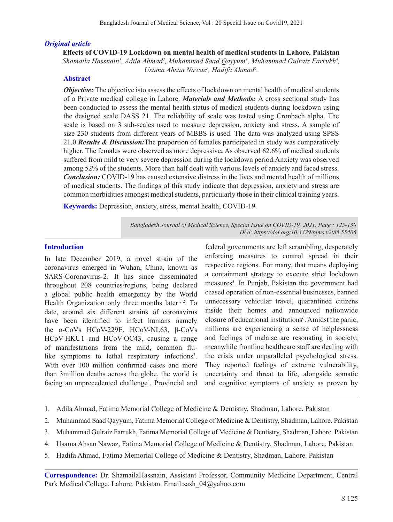#### *Original article*

**Effects of COVID-19 Lockdown on mental health of medical students in Lahore, Pakistan** Shamaila Hassnain<sup>1</sup>, Adila Ahmad<sup>2</sup>, Muhammad Saad Qayyum<sup>3</sup>, Muhammad Gulraiz Farrukh<sup>4</sup>, Usama Ahsan Nawaz<sup>5</sup>, Hadifa Ahmad<sup>6</sup>.

#### **Abstract**

*Objective:* The objective isto assess the effects of lockdown on mental health of medical students of a Private medical college in Lahore. *Materials and Methods:* A cross sectional study has been conducted to assess the mental health status of medical students during lockdown using the designed scale DASS 21. The reliability of scale was tested using Cronbach alpha. The scale is based on 3 sub-scales used to measure depression, anxiety and stress. A sample of size 230 students from different years of MBBS is used. The data was analyzed using SPSS 21.0 *Results & Discussion:*The proportion of females participated in study was comparatively higher. The females were observed as more depressive**.** As observed 62.6% of medical students suffered from mild to very severe depression during the lockdown period.Anxiety was observed among 52% of the students. More than half dealt with various levels of anxiety and faced stress. *Conclusion:* COVID-19 has caused extensive distress in the lives and mental health of millions of medical students. The findings of this study indicate that depression, anxiety and stress are common morbidities amongst medical students, particularly those in their clinical training years.

**Keywords:** Depression, anxiety, stress, mental health, COVID-19.

*Bangladesh Journal of Medical Science, Special Issue on COVID-19. 2021. Page : 125-130 DOI: https://doi.org/10.3329/bjms.v20i5.55406* 

## **Introduction**

In late December 2019, a novel strain of the coronavirus emerged in Wuhan, China, known as SARS-Coronavirus-2. It has since disseminated throughout 208 countries/regions, being declared a global public health emergency by the World Health Organization only three months later<sup>1, 2</sup>. To date, around six different strains of coronavirus have been identified to infect humans namely the α-CoVs HCoV-229E, HCoV-NL63, β-CoVs HCoV-HKU1 and HCoV-OC43, causing a range of manifestations from the mild, common flulike symptoms to lethal respiratory infections<sup>3</sup>. With over 100 million confirmed cases and more than 3million deaths across the globe, the world is facing an unprecedented challenge<sup>4</sup>. Provincial and

federal governments are left scrambling, desperately enforcing measures to control spread in their respective regions. For many, that means deploying a containment strategy to execute strict lockdown measures<sup>5</sup>. In Punjab, Pakistan the government had ceased operation of non-essential businesses, banned unnecessary vehicular travel, quarantined citizens inside their homes and announced nationwide closure of educational institutions<sup>6</sup>. Amidst the panic, millions are experiencing a sense of helplessness and feelings of malaise are resonating in society; meanwhile frontline healthcare staff are dealing with the crisis under unparalleled psychological stress. They reported feelings of extreme vulnerability, uncertainty and threat to life, alongside somatic and cognitive symptoms of anxiety as proven by

- 1. Adila Ahmad, Fatima Memorial College of Medicine & Dentistry, Shadman, Lahore. Pakistan
- 2. Muhammad Saad Qayyum, Fatima Memorial College of Medicine & Dentistry, Shadman, Lahore. Pakistan
- 3. Muhammad Gulraiz Farrukh, Fatima Memorial College of Medicine & Dentistry, Shadman, Lahore. Pakistan
- 4. Usama Ahsan Nawaz, Fatima Memorial College of Medicine & Dentistry, Shadman, Lahore. Pakistan
- 5. Hadifa Ahmad, Fatima Memorial College of Medicine & Dentistry, Shadman, Lahore. Pakistan

**Correspondence:** Dr. ShamailaHassnain, Assistant Professor, Community Medicine Department, Central Park Medical College, Lahore. Pakistan. Email:sash 04@yahoo.com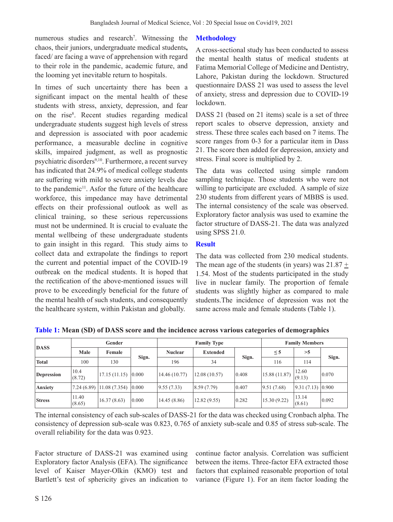numerous studies and research<sup>7</sup>. Witnessing the chaos, their juniors, undergraduate medical students**,**  faced/ are facing a wave of apprehension with regard to their role in the pandemic, academic future, and the looming yet inevitable return to hospitals.

In times of such uncertainty there has been a significant impact on the mental health of these students with stress, anxiety, depression, and fear on the rise<sup>8</sup>. Recent studies regarding medical undergraduate students suggest high levels of stress and depression is associated with poor academic performance, a measurable decline in cognitive skills, impaired judgment, as well as prognostic psychiatric disorders<sup>9,10</sup>. Furthermore, a recent survey has indicated that 24.9% of medical college students are suffering with mild to severe anxiety levels due to the pandemic<sup>11</sup>. Asfor the future of the healthcare workforce, this impedance may have detrimental effects on their professional outlook as well as clinical training, so these serious repercussions must not be undermined. It is crucial to evaluate the mental wellbeing of these undergraduate students to gain insight in this regard. This study aims to collect data and extrapolate the findings to report the current and potential impact of the COVID-19 outbreak on the medical students. It is hoped that the rectification of the above-mentioned issues will prove to be exceedingly beneficial for the future of the mental health of such students, and consequently the healthcare system, within Pakistan and globally.

#### **Methodology**

A cross-sectional study has been conducted to assess the mental health status of medical students at Fatima Memorial College of Medicine and Dentistry, Lahore, Pakistan during the lockdown. Structured questionnaire DASS 21 was used to assess the level of anxiety, stress and depression due to COVID-19 lockdown.

DASS 21 (based on 21 items) scale is a set of three report scales to observe depression, anxiety and stress. These three scales each based on 7 items. The score ranges from 0-3 for a particular item in Dass 21. The score then added for depression, anxiety and stress. Final score is multiplied by 2.

The data was collected using simple random sampling technique. Those students who were not willing to participate are excluded. A sample of size 230 students from different years of MBBS is used. The internal consistency of the scale was observed. Exploratory factor analysis was used to examine the factor structure of DASS-21. The data was analyzed using SPSS 21.0.

#### **Result**

The data was collected from 230 medical students. The mean age of the students (in years) was  $21.87 \pm$ 1.54. Most of the students participated in the study live in nuclear family. The proportion of female students was slightly higher as compared to male students.The incidence of depression was not the same across male and female students (Table 1).

| <b>DASS</b>       | Gender          |               |       |                | <b>Family Type</b> | <b>Family Members</b> |               |                 |                 |
|-------------------|-----------------|---------------|-------|----------------|--------------------|-----------------------|---------------|-----------------|-----------------|
|                   | Male            | Female        |       | <b>Nuclear</b> | <b>Extended</b>    | Sign.                 | $\leq$ 5      | >5              |                 |
| <b>Total</b>      | 100             | 130           | Sign. | 196            | 34                 |                       | 116           | 114             | Sign.           |
| <b>Depression</b> | 10.4<br>(8.72)  | 17.15(11.15)  | 0.000 | 14.46 (10.77)  | 12.08(10.57)       | 0.408                 | 15.88 (11.87) | 12.60<br>(9.13) | 0.070           |
| Anxiety           | (7.24(6.89))    | 11.08 (7.354) | 0.000 | 9.55(7.33)     | 8.59(7.79)         | 0.407                 | 9.51(7.68)    | 9.31(7.13)      | 0.900           |
| <b>Stress</b>     | 11.40<br>(8.65) | 16.37(8.63)   | 0.000 | 14.45(8.86)    | 12.82(9.55)        | 0.282                 | 15.30 (9.22)  | 13.14<br>(8.61) | $ 0.092\rangle$ |

**Table 1: Mean (SD) of DASS score and the incidence across various categories of demographics**

The internal consistency of each sub-scales of DASS-21 for the data was checked using Cronbach alpha. The consistency of depression sub-scale was 0.823, 0.765 of anxiety sub-scale and 0.85 of stress sub-scale. The overall reliability for the data was 0.923.

Factor structure of DASS-21 was examined using Exploratory factor Analysis (EFA). The significance level of Kaiser Mayer-Olkin (KMO) test and Bartlett's test of sphericity gives an indication to

continue factor analysis. Correlation was sufficient between the items. Three-factor EFA extracted those factors that explained reasonable proportion of total variance (Figure 1). For an item factor loading the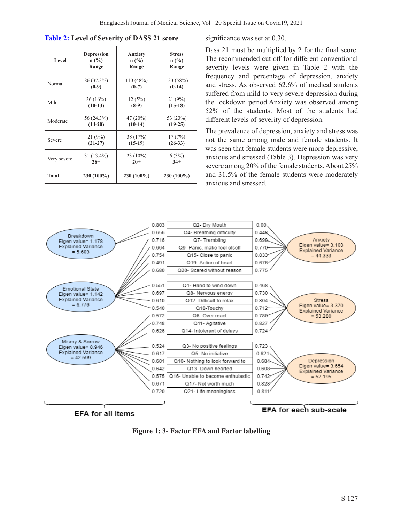| <b>Table 2:</b> Level of Severity of DASS 21 score |  |  |  |  |  |
|----------------------------------------------------|--|--|--|--|--|
|                                                    |  |  |  |  |  |

| Level        | <b>Depression</b> | Anxiety    | <b>Stress</b> |  |  |
|--------------|-------------------|------------|---------------|--|--|
|              | $n$ (%)           | $n$ (%)    | $n$ (%)       |  |  |
|              | Range             | Range      | Range         |  |  |
| Normal       | 86 (37.3%)        | 110(48%)   | 133 (58%)     |  |  |
|              | $(0-9)$           | $(0-7)$    | $(0-14)$      |  |  |
| Mild         | 36(16%)           | 12(5%)     | 21(9%)        |  |  |
|              | $(10-13)$         | $(8-9)$    | $(15-18)$     |  |  |
| Moderate     | 56 (24.3%)        | 47 (20%)   | 53 (23%)      |  |  |
|              | $(14-20)$         | $(10-14)$  | $(19-25)$     |  |  |
| Severe       | 21 (9%)           | 38 (17%)   | 17(7%)        |  |  |
|              | $(21-27)$         | $(15-19)$  | $(26-33)$     |  |  |
| Very severe  | $31(13.4\%)$      | 23 (10%)   | 6(3%)         |  |  |
|              | $28+$             | $20+$      | $34+$         |  |  |
| <b>Total</b> | 230 (100%)        | 230 (100%) | 230 (100%)    |  |  |

significance was set at 0.30.

Dass 21 must be multiplied by 2 for the final score. The recommended cut off for different conventional severity levels were given in Table 2 with the frequency and percentage of depression, anxiety and stress. As observed 62.6% of medical students suffered from mild to very severe depression during the lockdown period.Anxiety was observed among 52% of the students. Most of the students had different levels of severity of depression.

The prevalence of depression, anxiety and stress was not the same among male and female students. It was seen that female students were more depressive, anxious and stressed (Table 3). Depression was very severe among 20% of the female students. About 25% and 31.5% of the female students were moderately anxious and stressed.



**EFA for all items** 

EFA for each sub-scale

**Figure 1: 3- Factor EFA and Factor labelling**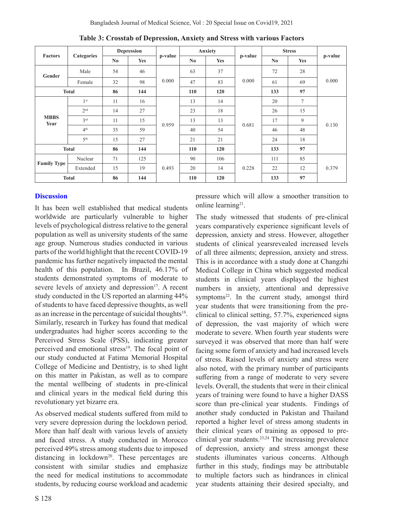| <b>Factors</b>      | <b>Categories</b> | <b>Depression</b> |            |         | Anxiety                |            |         | <b>Stress</b> |            |         |
|---------------------|-------------------|-------------------|------------|---------|------------------------|------------|---------|---------------|------------|---------|
|                     |                   | No                | <b>Yes</b> | p-value | $\mathbf{N}\mathbf{0}$ | <b>Yes</b> | p-value | No            | <b>Yes</b> | p-value |
| Gender              | Male              | 54                | 46         | 0.000   | 63                     | 37         | 0.000   | 72            | 28         | 0.000   |
|                     | Female            | 32                | 98         |         | 47                     | 83         |         | 61            | 69         |         |
| <b>Total</b>        |                   | 86                | 144        |         | 110                    | 120        |         | 133           | 97         |         |
| <b>MBBS</b><br>Year | 1 <sup>st</sup>   | 11                | 16         | 0.959   | 13                     | 14         | 0.681   | 20            | $\tau$     | 0.130   |
|                     | 2 <sup>nd</sup>   | 14                | 27         |         | 23                     | 18         |         | 26            | 15         |         |
|                     | 3 <sup>rd</sup>   | 11                | 15         |         | 13                     | 13         |         | 17            | 9          |         |
|                     | 4 <sup>th</sup>   | 35                | 59         |         | 40                     | 54         |         | 46            | 48         |         |
|                     | 5 <sup>th</sup>   | 15                | 27         |         | 21                     | 21         |         | 24            | 18         |         |
| <b>Total</b>        |                   | 86                | 144        |         | 110                    | 120        |         | 133           | 97         |         |
| <b>Family Type</b>  | Nuclear           | 71                | 125        | 0.493   | 90                     | 106        | 0.228   | 111           | 85         | 0.379   |
|                     | Extended          | 15                | 19         |         | 20                     | 14         |         | 22            | 12         |         |
| <b>Total</b>        |                   | 86                | 144        |         | 110                    | 120        |         | 133           | 97         |         |

**Table 3: Crosstab of Depression, Anxiety and Stress with various Factors**

## **Discussion**

It has been well established that medical students worldwide are particularly vulnerable to higher levels of psychological distress relative to the general population as well as university students of the same age group. Numerous studies conducted in various parts of the world highlight that the recent COVID-19 pandemic has further negatively impacted the mental health of this population. In Brazil, 46.17% of students demonstrated symptoms of moderate to severe levels of anxiety and depression $17$ . A recent study conducted in the US reported an alarming 44% of students to have faced depressive thoughts, as well as an increase in the percentage of suicidal thoughts<sup>18</sup>. Similarly, research in Turkey has found that medical undergraduates had higher scores according to the Perceived Stress Scale (PSS), indicating greater perceived and emotional stress<sup>19</sup>. The focal point of our study conducted at Fatima Memorial Hospital College of Medicine and Dentistry, is to shed light on this matter in Pakistan, as well as to compare the mental wellbeing of students in pre-clinical and clinical years in the medical field during this revolutionary yet bizarre era.

As observed medical students suffered from mild to very severe depression during the lockdown period. More than half dealt with various levels of anxiety and faced stress. A study conducted in Morocco perceived 49% stress among students due to imposed distancing in lockdown<sup>20</sup>. These percentages are consistent with similar studies and emphasize the need for medical institutions to accommodate students, by reducing course workload and academic pressure which will allow a smoother transition to online learning<sup>21</sup>.

The study witnessed that students of pre-clinical years comparatively experience significant levels of depression, anxiety and stress. However, altogether students of clinical yearsrevealed increased levels of all three ailments; depression, anxiety and stress. This is in accordance with a study done at Changzhi Medical College in China which suggested medical students in clinical years displayed the highest numbers in anxiety, attentional and depressive symptoms<sup>22</sup>. In the current study, amongst third year students that were transitioning from the preclinical to clinical setting, 57.7%, experienced signs of depression, the vast majority of which were moderate to severe. When fourth year students were surveyed it was observed that more than half were facing some form of anxiety and had increased levels of stress. Raised levels of anxiety and stress were also noted, with the primary number of participants suffering from a range of moderate to very severe levels. Overall, the students that were in their clinical years of training were found to have a higher DASS score than pre-clinical year students. Findings of another study conducted in Pakistan and Thailand reported a higher level of stress among students in their clinical years of training as opposed to preclinical year students.23,24 The increasing prevalence of depression, anxiety and stress amongst these students illuminates various concerns. Although further in this study, findings may be attributable to multiple factors such as hindrances in clinical year students attaining their desired specialty, and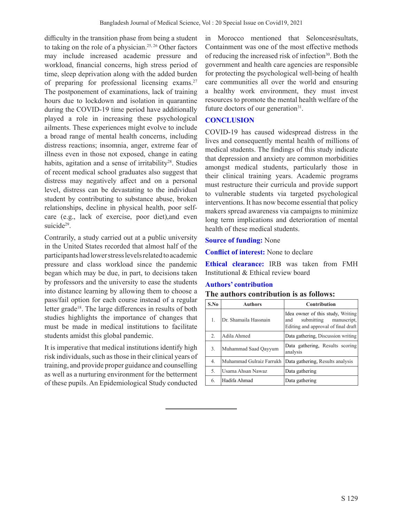difficulty in the transition phase from being a student to taking on the role of a physician.<sup>25, 26</sup> Other factors may include increased academic pressure and workload, financial concerns, high stress period of time, sleep deprivation along with the added burden of preparing for professional licensing exams.<sup>27</sup> The postponement of examinations, lack of training hours due to lockdown and isolation in quarantine during the COVID-19 time period have additionally played a role in increasing these psychological ailments. These experiences might evolve to include a broad range of mental health concerns, including distress reactions; insomnia, anger, extreme fear of illness even in those not exposed, change in eating habits, agitation and a sense of irritability<sup>28</sup>. Studies of recent medical school graduates also suggest that distress may negatively affect and on a personal level, distress can be devastating to the individual student by contributing to substance abuse, broken relationships, decline in physical health, poor selfcare (e.g., lack of exercise, poor diet),and even suicide<sup>29</sup>.

Contrarily, a study carried out at a public university in the United States recorded that almost half of the participants had lower stress levels related to academic pressure and class workload since the pandemic began which may be due, in part, to decisions taken by professors and the university to ease the students into distance learning by allowing them to choose a pass/fail option for each course instead of a regular letter grade<sup>18</sup>. The large differences in results of both studies highlights the importance of changes that must be made in medical institutions to facilitate students amidst this global pandemic.

It is imperative that medical institutions identify high risk individuals, such as those in their clinical years of training, and provide proper guidance and counselling as well as a nurturing environment for the betterment of these pupils. An Epidemiological Study conducted in Morocco mentioned that Seloncesrésultats, Containment was one of the most effective methods of reducing the increased risk of infection<sup>30</sup>. Both the government and health care agencies are responsible for protecting the psychological well-being of health care communities all over the world and ensuring a healthy work environment, they must invest resources to promote the mental health welfare of the future doctors of our generation $31$ .

# **CONCLUSION**

COVID-19 has caused widespread distress in the lives and consequently mental health of millions of medical students. The findings of this study indicate that depression and anxiety are common morbidities amongst medical students, particularly those in their clinical training years. Academic programs must restructure their curricula and provide support to vulnerable students via targeted psychological interventions. It has now become essential that policy makers spread awareness via campaigns to minimize long term implications and deterioration of mental health of these medical students.

## **Source of funding:** None

**Conflict of interest:** None to declare

**Ethical clearance:** IRB was taken from FMH Institutional & Ethical review board

# **Authors' contribution**

| S.No | <b>Authors</b>           | <b>Contribution</b>                                                                                       |  |  |  |  |
|------|--------------------------|-----------------------------------------------------------------------------------------------------------|--|--|--|--|
| 1.   | Dr. Shamaila Hassnain    | Idea owner of this study, Writing<br>submitting manuscript,<br>and<br>Editing and approval of final draft |  |  |  |  |
| 2.   | Adila Ahmed              | Data gathering, Discussion writing                                                                        |  |  |  |  |
| 3.   | Muhammad Saad Qayyum     | Data gathering, Results scoring<br>analysis                                                               |  |  |  |  |
| 4.   | Muhammad Gulraiz Farrukh | Data gathering, Results analysis                                                                          |  |  |  |  |
| 5.   | Usama Ahsan Nawaz        | Data gathering                                                                                            |  |  |  |  |
| 6.   | Hadifa Ahmad             | Data gathering                                                                                            |  |  |  |  |